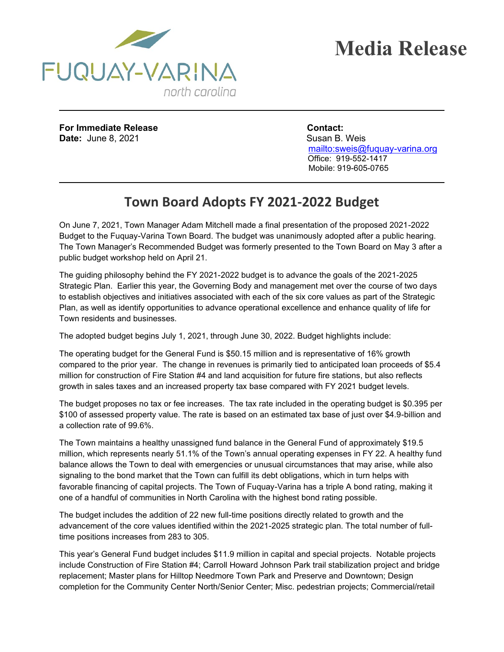

**For Immediate Release Contact: Date:** June 8, 2021 Susan B. Weis

 <mailto:sweis@fuquay-varina.org> Office: 919-552-1417 Mobile: 919-605-0765

## **Town Board Adopts FY 2021-2022 Budget**

On June 7, 2021, Town Manager Adam Mitchell made a final presentation of the proposed 2021-2022 Budget to the Fuquay-Varina Town Board. The budget was unanimously adopted after a public hearing. The Town Manager's Recommended Budget was formerly presented to the Town Board on May 3 after a public budget workshop held on April 21.

The guiding philosophy behind the FY 2021-2022 budget is to advance the goals of the 2021-2025 Strategic Plan. Earlier this year, the Governing Body and management met over the course of two days to establish objectives and initiatives associated with each of the six core values as part of the Strategic Plan, as well as identify opportunities to advance operational excellence and enhance quality of life for Town residents and businesses.

The adopted budget begins July 1, 2021, through June 30, 2022. Budget highlights include:

The operating budget for the General Fund is \$50.15 million and is representative of 16% growth compared to the prior year. The change in revenues is primarily tied to anticipated loan proceeds of \$5.4 million for construction of Fire Station #4 and land acquisition for future fire stations, but also reflects growth in sales taxes and an increased property tax base compared with FY 2021 budget levels.

The budget proposes no tax or fee increases. The tax rate included in the operating budget is \$0.395 per \$100 of assessed property value. The rate is based on an estimated tax base of just over \$4.9-billion and a collection rate of 99.6%.

The Town maintains a healthy unassigned fund balance in the General Fund of approximately \$19.5 million, which represents nearly 51.1% of the Town's annual operating expenses in FY 22. A healthy fund balance allows the Town to deal with emergencies or unusual circumstances that may arise, while also signaling to the bond market that the Town can fulfill its debt obligations, which in turn helps with favorable financing of capital projects. The Town of Fuquay-Varina has a triple A bond rating, making it one of a handful of communities in North Carolina with the highest bond rating possible.

The budget includes the addition of 22 new full-time positions directly related to growth and the advancement of the core values identified within the 2021-2025 strategic plan. The total number of fulltime positions increases from 283 to 305.

This year's General Fund budget includes \$11.9 million in capital and special projects. Notable projects include Construction of Fire Station #4; Carroll Howard Johnson Park trail stabilization project and bridge replacement; Master plans for Hilltop Needmore Town Park and Preserve and Downtown; Design completion for the Community Center North/Senior Center; Misc. pedestrian projects; Commercial/retail